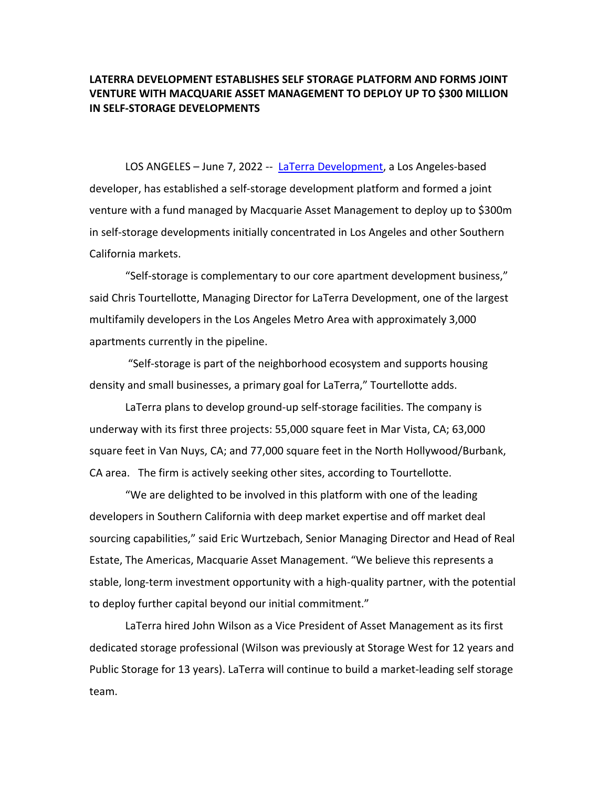## **LATERRA DEVELOPMENT ESTABLISHES SELF STORAGE PLATFORM AND FORMS JOINT VENTURE WITH MACQUARIE ASSET MANAGEMENT TO DEPLOY UP TO \$300 MILLION IN SELF-STORAGE DEVELOPMENTS**

LOS ANGELES - June 7, 2022 -- LaTerra Development, a Los Angeles-based developer, has established a self-storage development platform and formed a joint venture with a fund managed by Macquarie Asset Management to deploy up to \$300m in self-storage developments initially concentrated in Los Angeles and other Southern California markets.

"Self-storage is complementary to our core apartment development business," said Chris Tourtellotte, Managing Director for LaTerra Development, one of the largest multifamily developers in the Los Angeles Metro Area with approximately 3,000 apartments currently in the pipeline.

"Self-storage is part of the neighborhood ecosystem and supports housing density and small businesses, a primary goal for LaTerra," Tourtellotte adds.

LaTerra plans to develop ground-up self-storage facilities. The company is underway with its first three projects: 55,000 square feet in Mar Vista, CA; 63,000 square feet in Van Nuys, CA; and 77,000 square feet in the North Hollywood/Burbank, CA area. The firm is actively seeking other sites, according to Tourtellotte.

"We are delighted to be involved in this platform with one of the leading developers in Southern California with deep market expertise and off market deal sourcing capabilities," said Eric Wurtzebach, Senior Managing Director and Head of Real Estate, The Americas, Macquarie Asset Management. "We believe this represents a stable, long-term investment opportunity with a high-quality partner, with the potential to deploy further capital beyond our initial commitment."

LaTerra hired John Wilson as a Vice President of Asset Management as its first dedicated storage professional (Wilson was previously at Storage West for 12 years and Public Storage for 13 years). LaTerra will continue to build a market-leading self storage team.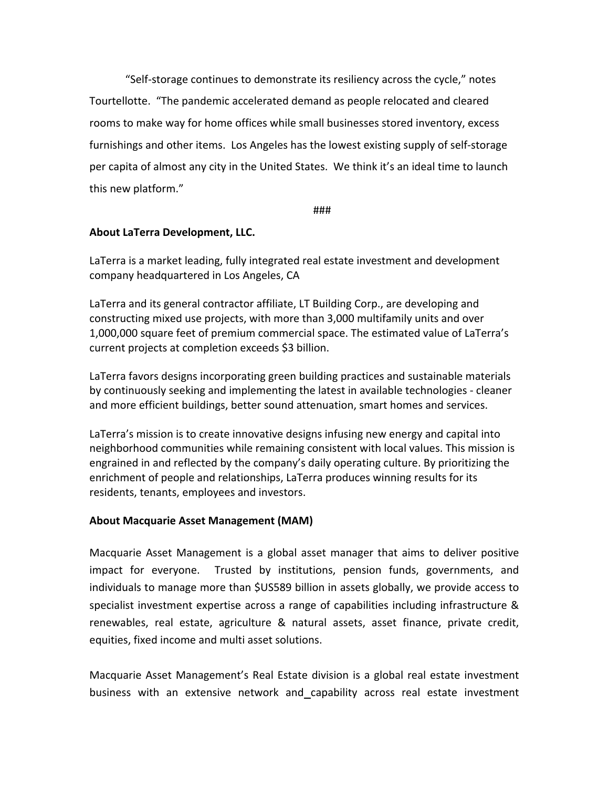"Self-storage continues to demonstrate its resiliency across the cycle," notes Tourtellotte. "The pandemic accelerated demand as people relocated and cleared rooms to make way for home offices while small businesses stored inventory, excess furnishings and other items. Los Angeles has the lowest existing supply of self-storage per capita of almost any city in the United States. We think it's an ideal time to launch this new platform."

###

## **About LaTerra Development, LLC.**

LaTerra is a market leading, fully integrated real estate investment and development company headquartered in Los Angeles, CA

LaTerra and its general contractor affiliate, LT Building Corp., are developing and constructing mixed use projects, with more than 3,000 multifamily units and over 1,000,000 square feet of premium commercial space. The estimated value of LaTerra's current projects at completion exceeds \$3 billion.

LaTerra favors designs incorporating green building practices and sustainable materials by continuously seeking and implementing the latest in available technologies - cleaner and more efficient buildings, better sound attenuation, smart homes and services.

LaTerra's mission is to create innovative designs infusing new energy and capital into neighborhood communities while remaining consistent with local values. This mission is engrained in and reflected by the company's daily operating culture. By prioritizing the enrichment of people and relationships, LaTerra produces winning results for its residents, tenants, employees and investors.

## **About Macquarie Asset Management (MAM)**

Macquarie Asset Management is a global asset manager that aims to deliver positive impact for everyone. Trusted by institutions, pension funds, governments, and individuals to manage more than \$US589 billion in assets globally, we provide access to specialist investment expertise across a range of capabilities including infrastructure & renewables, real estate, agriculture & natural assets, asset finance, private credit, equities, fixed income and multi asset solutions.

Macquarie Asset Management's Real Estate division is a global real estate investment business with an extensive network and capability across real estate investment